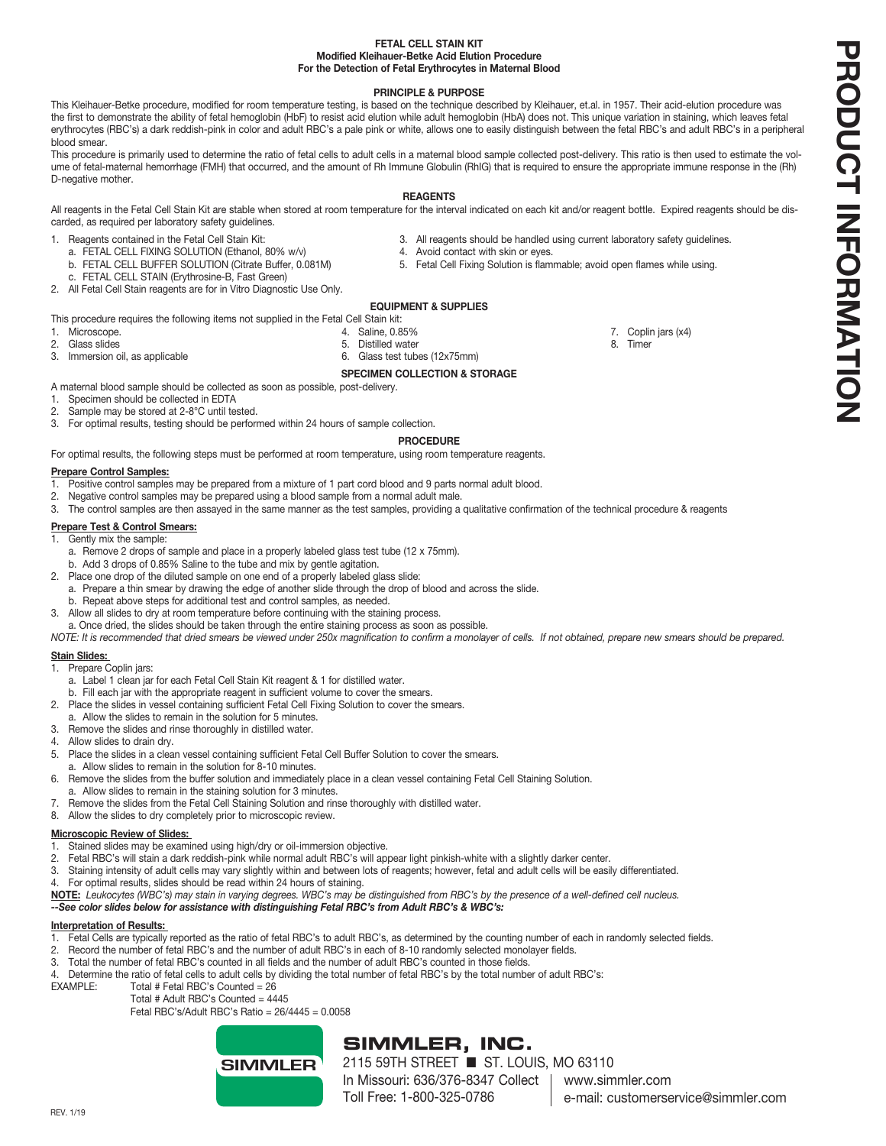## **FETAL CELL STAIN KIT Modified Kleihauer-Betke Acid Elution Procedure For the Detection of Fetal Erythrocytes in Maternal Blood**

## **PRINCIPLE & PURPOSE**

This Kleihauer-Betke procedure, modified for room temperature testing, is based on the technique described by Kleihauer, et.al. in 1957. Their acid-elution procedure was the first to demonstrate the ability of fetal hemoglobin (HbF) to resist acid elution while adult hemoglobin (HbA) does not. This unique variation in staining, which leaves fetal erythrocytes (RBC's) a dark reddish-pink in color and adult RBC's a pale pink or white, allows one to easily distinguish between the fetal RBC's and adult RBC's in a peripheral blood smear.

This procedure is primarily used to determine the ratio of fetal cells to adult cells in a maternal blood sample collected post-delivery. This ratio is then used to estimate the volume of fetal-maternal hemorrhage (FMH) that occurred, and the amount of Rh Immune Globulin (RhIG) that is required to ensure the appropriate immune response in the (Rh) D-negative mother.

## **REAGENTS**

All reagents in the Fetal Cell Stain Kit are stable when stored at room temperature for the interval indicated on each kit and/or reagent bottle. Expired reagents should be discarded, as required per laboratory safety guidelines.

- 
- 1. Reagents contained in the Fetal Cell Stain Kit: 3. All reagents should be handled using current laboratory safety guidelines.<br>3. All reagents should be handled using current laboratory safety guidelines.<br>4. Avoid contac
	- a. FETAL CELL FIXING SOLUTION (Ethanol, 80% w/v)<br>b. FETAL CELL BUFFER SOLUTION (Citrate Buffer, 0.081M)
	- c. FETAL CELL STAIN (Erythrosine-B, Fast Green)
- 2. All Fetal Cell Stain reagents are for in Vitro Diagnostic Use Only.

## **EQUIPMENT & SUPPLIES**

This procedure requires the following items not supplied in the Fetal Cell Stain kit:<br>1. Microscope. 4. Saline, 0.85%

- 
- 1. Microscope. 4. Saline, 0.85% 7. Coplin jars (x4) 2. Glass slides 5. Distilled water 8. Timer
- 3. Immersion oil, as applicable 6. Glass test tubes (12x75mm)
	- **SPECIMEN COLLECTION & STORAGE**

A maternal blood sample should be collected as soon as possible, post-delivery.

- 1. Specimen should be collected in EDTA
- 2. Sample may be stored at 2-8°C until tested.
- 3. For optimal results, testing should be performed within 24 hours of sample collection.

## **PROCEDURE**

For optimal results, the following steps must be performed at room temperature, using room temperature reagents.

## **Prepare Control Samples:**

- 1. Positive control samples may be prepared from a mixture of 1 part cord blood and 9 parts normal adult blood.
- 2. Negative control samples may be prepared using a blood sample from a normal adult male.
- 3. The control samples are then assayed in the same manner as the test samples, providing a qualitative confirmation of the technical procedure & reagents

## **Prepare Test & Control Smears:**

- 1. Gently mix the sample:
	- a. Remove 2 drops of sample and place in a properly labeled glass test tube (12 x 75mm).
	- b. Add 3 drops of 0.85% Saline to the tube and mix by gentle agitation.
- 2. Place one drop of the diluted sample on one end of a properly labeled glass slide:
- a. Prepare a thin smear by drawing the edge of another slide through the drop of blood and across the slide.
- b. Repeat above steps for additional test and control samples, as needed.
- 3. Allow all slides to dry at room temperature before continuing with the staining process.
- a. Once dried, the slides should be taken through the entire staining process as soon as possible.
- *NOTE: It is recommended that dried smears be viewed under 250x magnification to confirm a monolayer of cells. If not obtained, prepare new smears should be prepared.*

## **Stain Slides:**

- 1. Prepare Coplin jars:
- a. Label 1 clean jar for each Fetal Cell Stain Kit reagent & 1 for distilled water.
- b. Fill each jar with the appropriate reagent in sufficient volume to cover the smears.
- 2. Place the slides in vessel containing sufficient Fetal Cell Fixing Solution to cover the smears.
- a. Allow the slides to remain in the solution for 5 minutes.
- 3. Remove the slides and rinse thoroughly in distilled water.
- 4. Allow slides to drain dry.
- 5. Place the slides in a clean vessel containing sufficient Fetal Cell Buffer Solution to cover the smears.
- a. Allow slides to remain in the solution for 8-10 minutes.
- 6. Remove the slides from the buffer solution and immediately place in a clean vessel containing Fetal Cell Staining Solution.
- a. Allow slides to remain in the staining solution for 3 minutes.
- 7. Remove the slides from the Fetal Cell Staining Solution and rinse thoroughly with distilled water.
- 8. Allow the slides to dry completely prior to microscopic review.

## **Microscopic Review of Slides:**

- 1. Stained slides may be examined using high/dry or oil-immersion objective.
- 2. Fetal RBC's will stain a dark reddish-pink while normal adult RBC's will appear light pinkish-white with a slightly darker center.
- 3. Staining intensity of adult cells may vary slightly within and between lots of reagents; however, fetal and adult cells will be easily differentiated.
- 4. For optimal results, slides should be read within 24 hours of staining.
- **NOTE:** *Leukocytes (WBC's) may stain in varying degrees. WBC's may be distinguished from RBC's by the presence of a well-defined cell nucleus.*

# *--See color slides below for assistance with distinguishing Fetal RBC's from Adult RBC's & WBC's:*

# **Interpretation of Results:**

- 1. Fetal Cells are typically reported as the ratio of fetal RBC's to adult RBC's, as determined by the counting number of each in randomly selected fields.
- 2. Record the number of fetal RBC's and the number of adult RBC's in each of 8-10 randomly selected monolayer fields.
- 3. Total the number of fetal RBC's counted in all fields and the number of adult RBC's counted in those fields.
- 4. Determine the ratio of fetal cells to adult cells by dividing the total number of fetal RBC's by the total number of adult RBC's:<br>FXAMPLE: Total # Fetal RBC's Counted = 26

Total  $#$  Fetal RBC's Counted = 26

Total # Adult RBC's Counted = 4445

Fetal RBC's/Adult RBC's Ratio = 26/4445 = 0.0058



# **SIMMLER, INC.**

2115 59TH STREET ■ ST. LOUIS, MO 63110 In Missouri: 636/376-8347 Collect Toll Free: 1-800-325-0786

- 
- 

5. Fetal Cell Fixing Solution is flammable; avoid open flames while using.